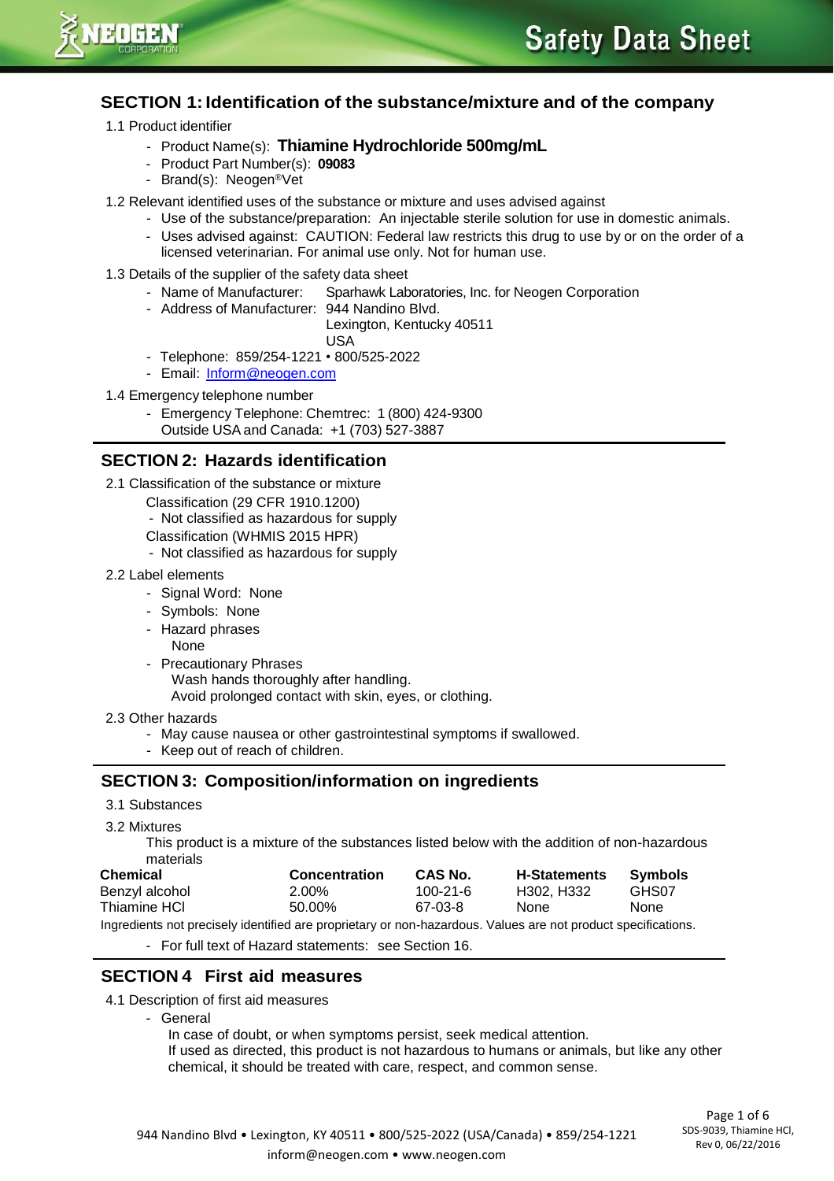

## **SECTION 1:Identification of the substance/mixture and of the company**

- 1.1 Product identifier
	- Product Name(s): **Thiamine Hydrochloride 500mg/mL**
	- Product Part Number(s): **09083**
	- Brand(s): Neogen®Vet
- 1.2 Relevant identified uses of the substance or mixture and uses advised against
	- Use of the substance/preparation: An injectable sterile solution for use in domestic animals.
	- Uses advised against: CAUTION: Federal law restricts this drug to use by or on the order of a licensed veterinarian. For animal use only. Not for human use.
- 1.3 Details of the supplier of the safety data sheet
	- Name of Manufacturer: Sparhawk Laboratories, Inc. for Neogen Corporation
	- Address of Manufacturer: 944 Nandino Blvd.

Lexington, Kentucky 40511 USA

- Telephone: 859/254-1221 800/525-2022
- Email: [Inform@neogen.com](mailto:Inform@neogen.com)
- 1.4 Emergency telephone number
	- Emergency Telephone: Chemtrec: 1 (800) 424-9300 Outside USA and Canada: +1 (703) 527-3887

### **SECTION 2: Hazards identification**

- 2.1 Classification of the substance or mixture
	- Classification (29 CFR 1910.1200)
	- Not classified as hazardous for supply
	- Classification (WHMIS 2015 HPR)
	- Not classified as hazardous for supply
- 2.2 Label elements
	- Signal Word: None
	- Symbols: None
	- Hazard phrases
		- None
	- Precautionary Phrases Wash hands thoroughly after handling. Avoid prolonged contact with skin, eyes, or clothing.
- 2.3 Other hazards
	- May cause nausea or other gastrointestinal symptoms if swallowed.
	- Keep out of reach of children.

## **SECTION 3: Composition/information on ingredients**

- 3.1 Substances
- 3.2 Mixtures

This product is a mixture of the substances listed below with the addition of non-hazardous materials

| <b>Chemical</b>                                                                                               | Concentration | CAS No.  | <b>H-Statements</b> | Symbols     |  |  |  |
|---------------------------------------------------------------------------------------------------------------|---------------|----------|---------------------|-------------|--|--|--|
| Benzyl alcohol                                                                                                | 2.00%         | 100-21-6 | H302. H332          | GHS07       |  |  |  |
| Thiamine HCI                                                                                                  | 50.00%        | 67-03-8  | <b>None</b>         | <b>None</b> |  |  |  |
| Ingredients not precisely identified are proprietary or non-hazardous. Values are not product specifications. |               |          |                     |             |  |  |  |

- For full text of Hazard statements: see Section 16.

# **SECTION 4 First aid measures**

#### 4.1 Description of first aid measures

- General
	- In case of doubt, or when symptoms persist, seek medical attention.

If used as directed, this product is not hazardous to humans or animals, but like any other chemical, it should be treated with care, respect, and common sense.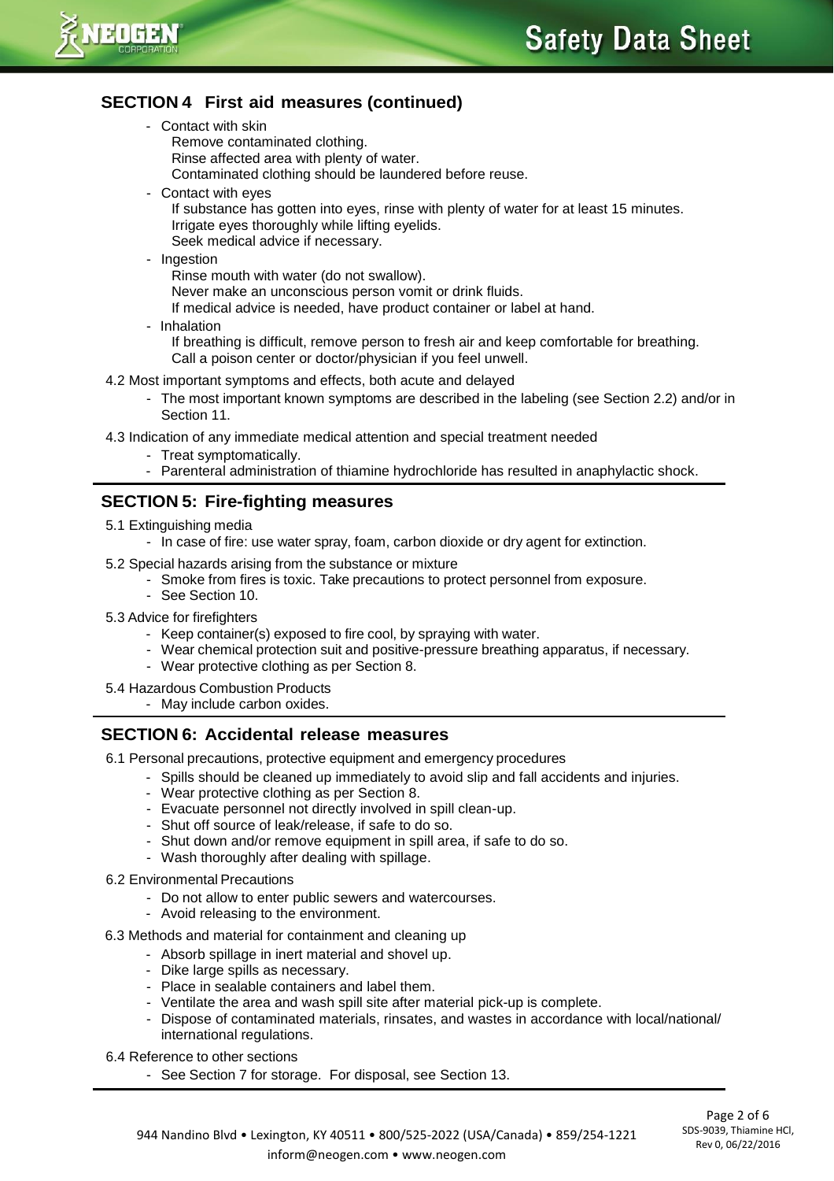

# **SECTION 4 First aid measures (continued)**

- Contact with skin
	- Remove contaminated clothing.
	- Rinse affected area with plenty of water.
	- Contaminated clothing should be laundered before reuse.
- Contact with eyes
	- If substance has gotten into eyes, rinse with plenty of water for at least 15 minutes. Irrigate eyes thoroughly while lifting eyelids. Seek medical advice if necessary.
- Ingestion
	- Rinse mouth with water (do not swallow).
	- Never make an unconscious person vomit or drink fluids.
	- If medical advice is needed, have product container or label at hand.
- Inhalation

If breathing is difficult, remove person to fresh air and keep comfortable for breathing. Call a poison center or doctor/physician if you feel unwell.

- 4.2 Most important symptoms and effects, both acute and delayed
	- The most important known symptoms are described in the labeling (see Section 2.2) and/or in Section 11.
- 4.3 Indication of any immediate medical attention and special treatment needed
	- Treat symptomatically.
	- Parenteral administration of thiamine hydrochloride has resulted in anaphylactic shock.

## **SECTION 5: Fire-fighting measures**

- 5.1 Extinguishing media
	- In case of fire: use water spray, foam, carbon dioxide or dry agent for extinction.
- 5.2 Special hazards arising from the substance or mixture
	- Smoke from fires is toxic. Take precautions to protect personnel from exposure.
	- See Section 10.
- 5.3 Advice for firefighters
	- Keep container(s) exposed to fire cool, by spraying with water.
	- Wear chemical protection suit and positive-pressure breathing apparatus, if necessary.
	- Wear protective clothing as per Section 8.
- 5.4 Hazardous Combustion Products
	- May include carbon oxides.

#### **SECTION 6: Accidental release measures**

- 6.1 Personal precautions, protective equipment and emergency procedures
	- Spills should be cleaned up immediately to avoid slip and fall accidents and injuries.
	- Wear protective clothing as per Section 8.
	- Evacuate personnel not directly involved in spill clean-up.
	- Shut off source of leak/release, if safe to do so.
	- Shut down and/or remove equipment in spill area, if safe to do so.
	- Wash thoroughly after dealing with spillage.
- 6.2 Environmental Precautions
	- Do not allow to enter public sewers and watercourses.
	- Avoid releasing to the environment.
- 6.3 Methods and material for containment and cleaning up
	- Absorb spillage in inert material and shovel up.
	- Dike large spills as necessary.
	- Place in sealable containers and label them.
	- Ventilate the area and wash spill site after material pick-up is complete.
	- Dispose of contaminated materials, rinsates, and wastes in accordance with local/national/ international regulations.
- 6.4 Reference to other sections
	- See Section 7 for storage. For disposal, see Section 13.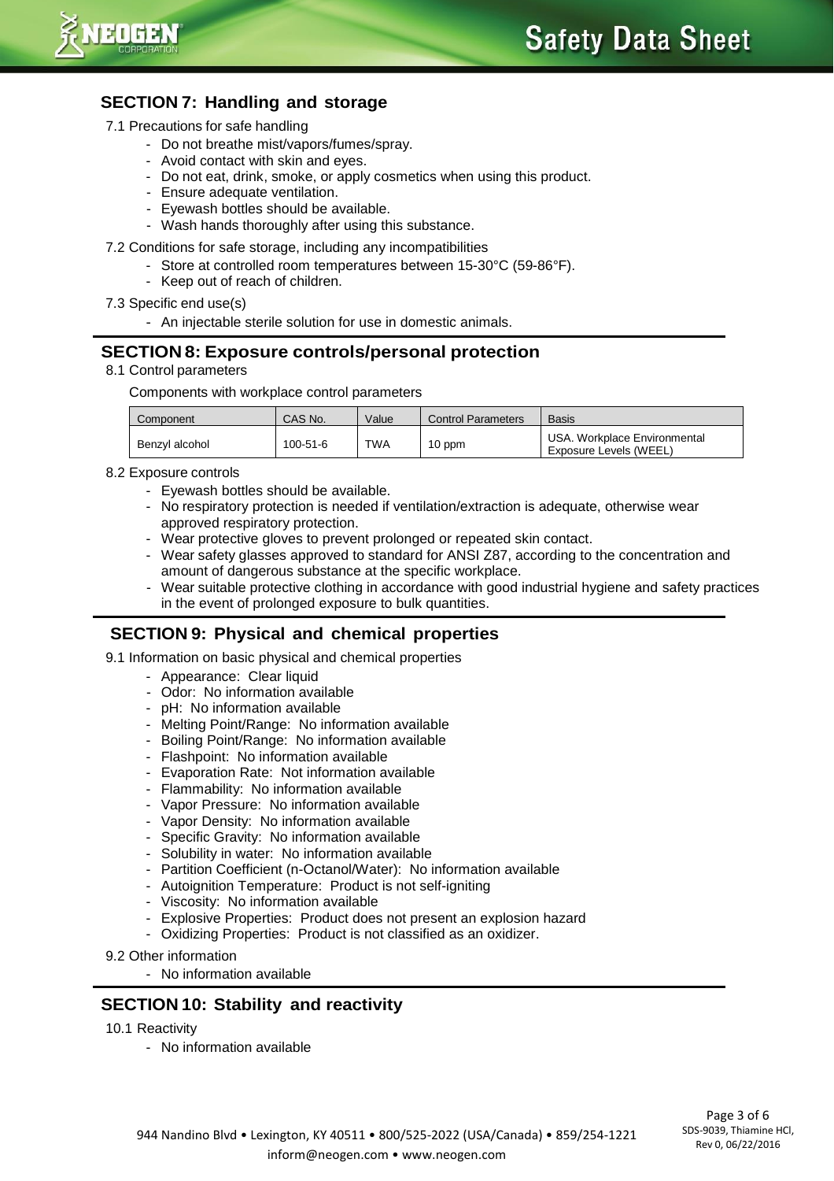

# **SECTION 7: Handling and storage**

- 7.1 Precautions for safe handling
	- Do not breathe mist/vapors/fumes/spray.
	- Avoid contact with skin and eyes.
	- Do not eat, drink, smoke, or apply cosmetics when using this product.
	- Ensure adequate ventilation.
	- Eyewash bottles should be available.
	- Wash hands thoroughly after using this substance.
- 7.2 Conditions for safe storage, including any incompatibilities
	- Store at controlled room temperatures between 15-30°C (59-86°F).
	- Keep out of reach of children.
- 7.3 Specific end use(s)
	- An injectable sterile solution for use in domestic animals.

### **SECTION 8: Exposure controls/personal protection**

8.1 Control parameters

Components with workplace control parameters

| Component      | CAS No.        | Value      | <b>Control Parameters</b> | <b>Basis</b>                                           |
|----------------|----------------|------------|---------------------------|--------------------------------------------------------|
| Benzyl alcohol | $100 - 51 - 6$ | <b>TWA</b> | 10 ppm                    | USA, Workplace Environmental<br>Exposure Levels (WEEL) |

- 8.2 Exposure controls
	- Eyewash bottles should be available.
	- No respiratory protection is needed if ventilation/extraction is adequate, otherwise wear approved respiratory protection.
	- Wear protective gloves to prevent prolonged or repeated skin contact.
	- Wear safety glasses approved to standard for ANSI Z87, according to the concentration and amount of dangerous substance at the specific workplace.
	- Wear suitable protective clothing in accordance with good industrial hygiene and safety practices in the event of prolonged exposure to bulk quantities.

#### **SECTION 9: Physical and chemical properties**

9.1 Information on basic physical and chemical properties

- Appearance: Clear liquid
- Odor: No information available
- pH: No information available
- Melting Point/Range: No information available
- Boiling Point/Range: No information available
- Flashpoint: No information available
- Evaporation Rate: Not information available
- Flammability: No information available
- Vapor Pressure: No information available
- Vapor Density: No information available
- Specific Gravity: No information available
- Solubility in water: No information available
- Partition Coefficient (n-Octanol/Water): No information available
- Autoignition Temperature: Product is not self-igniting
- Viscosity: No information available
- Explosive Properties: Product does not present an explosion hazard
- Oxidizing Properties: Product is not classified as an oxidizer.
- 9.2 Other information
	- No information available

#### **SECTION 10: Stability and reactivity**

10.1 Reactivity

- No information available

Page 3 of 6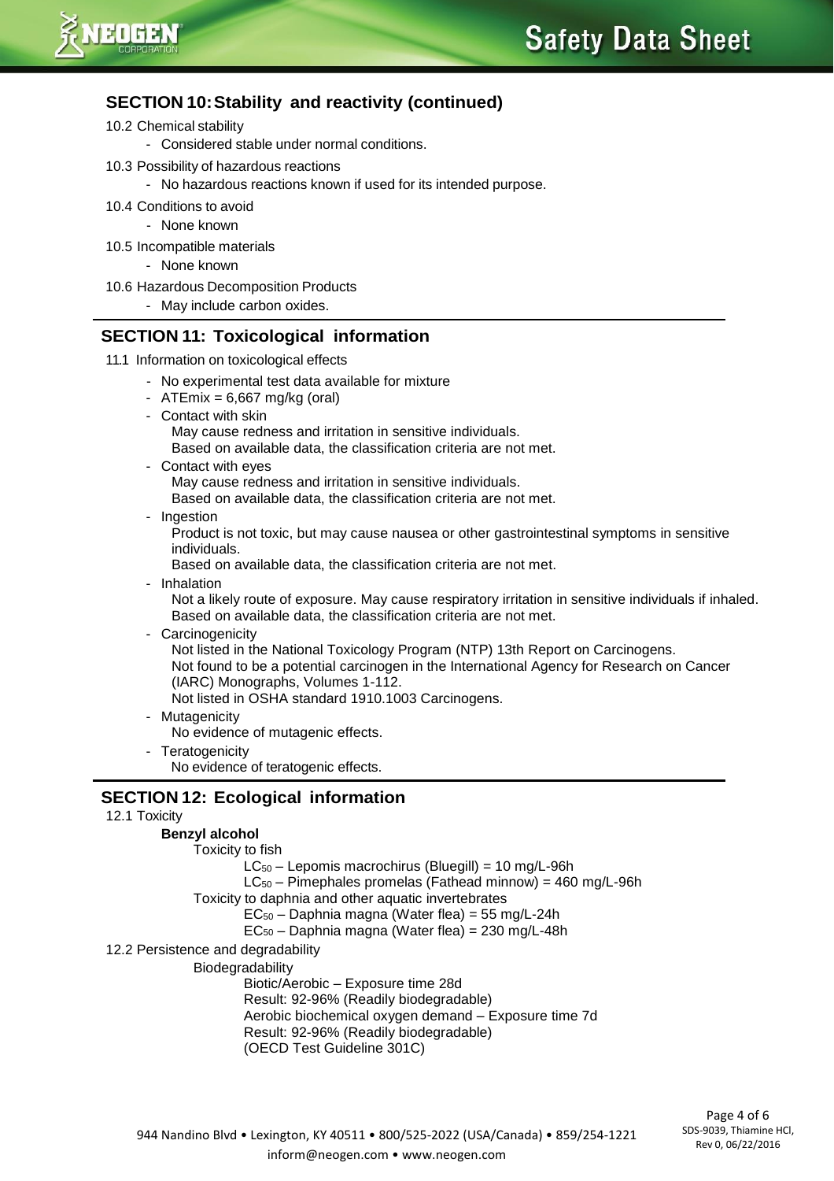

# **SECTION 10:Stability and reactivity (continued)**

- 10.2 Chemical stability
	- Considered stable under normal conditions.
- 10.3 Possibility of hazardous reactions
	- No hazardous reactions known if used for its intended purpose.
- 10.4 Conditions to avoid
	- None known
- 10.5 Incompatible materials
	- None known
- 10.6 Hazardous Decomposition Products
	- May include carbon oxides.

## **SECTION 11: Toxicological information**

- 11.1 Information on toxicological effects
	- No experimental test data available for mixture
	- $ATEmix = 6,667 mg/kg (oral)$
	- Contact with skin May cause redness and irritation in sensitive individuals.
		- Based on available data, the classification criteria are not met.
	- Contact with eyes May cause redness and irritation in sensitive individuals.
		- Based on available data, the classification criteria are not met.
	- Ingestion

Product is not toxic, but may cause nausea or other gastrointestinal symptoms in sensitive individuals.

Based on available data, the classification criteria are not met.

- Inhalation

Not a likely route of exposure. May cause respiratory irritation in sensitive individuals if inhaled. Based on available data, the classification criteria are not met.

- Carcinogenicity

Not listed in the National Toxicology Program (NTP) 13th Report on Carcinogens. Not found to be a potential carcinogen in the International Agency for Research on Cancer (IARC) Monographs, Volumes 1-112. Not listed in OSHA standard 1910.1003 Carcinogens.

- Mutagenicity
	- No evidence of mutagenic effects.
- Teratogenicity

No evidence of teratogenic effects.

## **SECTION 12: Ecological information**

12.1 Toxicity

#### **Benzyl alcohol**

Toxicity to fish

 $LC_{50}$  – Lepomis macrochirus (Bluegill) = 10 mg/L-96h

LC<sup>50</sup> – Pimephales promelas (Fathead minnow) = 460 mg/L-96h

Toxicity to daphnia and other aquatic invertebrates

 $EC_{50}$  – Daphnia magna (Water flea) = 55 mg/L-24h

EC<sup>50</sup> – Daphnia magna (Water flea) = 230 mg/L-48h

12.2 Persistence and degradability

Biodegradability

Biotic/Aerobic – Exposure time 28d

Result: 92-96% (Readily biodegradable)

Aerobic biochemical oxygen demand – Exposure time 7d

Result: 92-96% (Readily biodegradable)

(OECD Test Guideline 301C)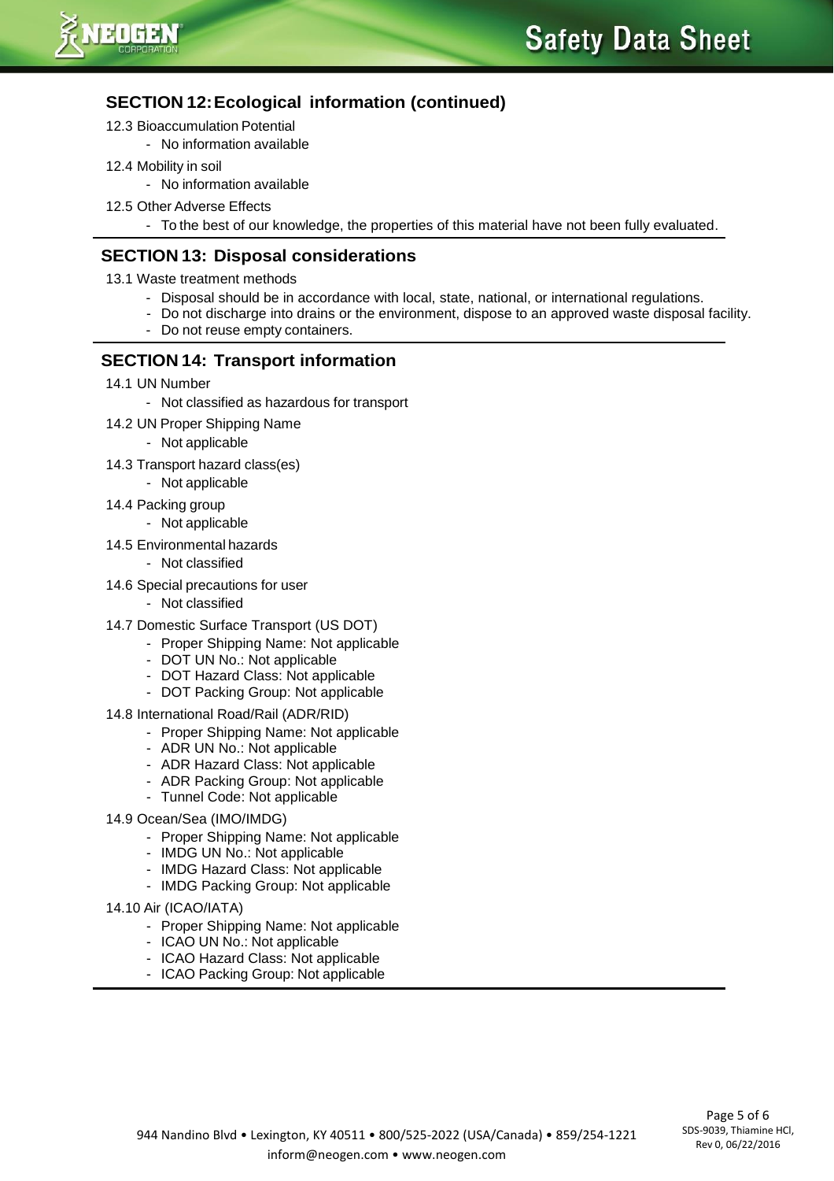

# **SECTION 12:Ecological information (continued)**

- 12.3 Bioaccumulation Potential
	- No information available
- 12.4 Mobility in soil
	- No information available
- 12.5 Other Adverse Effects
	- To the best of our knowledge, the properties of this material have not been fully evaluated.

## **SECTION 13: Disposal considerations**

- 13.1 Waste treatment methods
	- Disposal should be in accordance with local, state, national, or international regulations.
	- Do not discharge into drains or the environment, dispose to an approved waste disposal facility.
	- Do not reuse empty containers.

## **SECTION 14: Transport information**

- 14.1 UN Number
	- Not classified as hazardous for transport
- 14.2 UN Proper Shipping Name
	- Not applicable
- 14.3 Transport hazard class(es)
	- Not applicable
- 14.4 Packing group
	- Not applicable
- 14.5 Environmental hazards
	- Not classified
- 14.6 Special precautions for user
	- Not classified
- 14.7 Domestic Surface Transport (US DOT)
	- Proper Shipping Name: Not applicable
	- DOT UN No.: Not applicable
	- DOT Hazard Class: Not applicable
	- DOT Packing Group: Not applicable
- 14.8 International Road/Rail (ADR/RID)
	- Proper Shipping Name: Not applicable
	- ADR UN No.: Not applicable
	- ADR Hazard Class: Not applicable
	- ADR Packing Group: Not applicable
	- Tunnel Code: Not applicable
- 14.9 Ocean/Sea (IMO/IMDG)
	- Proper Shipping Name: Not applicable
	- IMDG UN No.: Not applicable
	- IMDG Hazard Class: Not applicable
	- IMDG Packing Group: Not applicable
- 14.10 Air (ICAO/IATA)
	- Proper Shipping Name: Not applicable
	- ICAO UN No.: Not applicable
	- ICAO Hazard Class: Not applicable
	- ICAO Packing Group: Not applicable